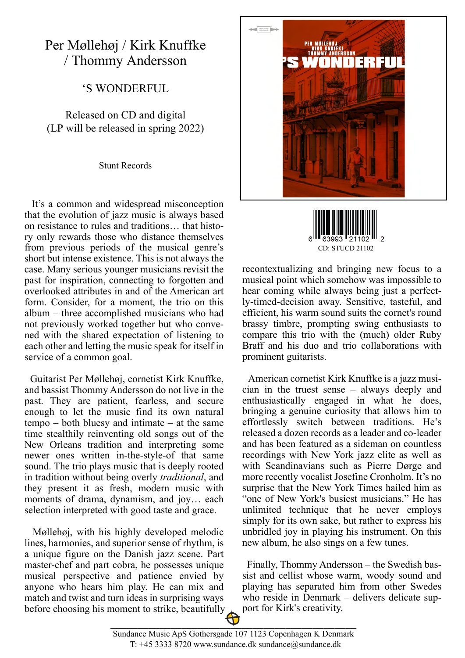## Per Møllehøj / Kirk Knuffke / Thommy Andersson

'S WONDERFUL

Released on CD and digital (LP will be released in spring 2022)

Stunt Records

 It's a common and widespread misconception that the evolution of jazz music is always based on resistance to rules and traditions… that history only rewards those who distance themselves from previous periods of the musical genre's short but intense existence. This is not always the case. Many serious younger musicians revisit the past for inspiration, connecting to forgotten and overlooked attributes in and of the American art form. Consider, for a moment, the trio on this album – three accomplished musicians who had not previously worked together but who convened with the shared expectation of listening to each other and letting the music speak for itself in service of a common goal.

 Guitarist Per Møllehøj, cornetist Kirk Knuffke, and bassist Thommy Andersson do not live in the past. They are patient, fearless, and secure enough to let the music find its own natural tempo – both bluesy and intimate – at the same time stealthily reinventing old songs out of the New Orleans tradition and interpreting some newer ones written in-the-style-of that same sound. The trio plays music that is deeply rooted in tradition without being overly *traditional*, and they present it as fresh, modern music with moments of drama, dynamism, and joy… each selection interpreted with good taste and grace.

 Møllehøj, with his highly developed melodic lines, harmonies, and superior sense of rhythm, is a unique figure on the Danish jazz scene. Part master-chef and part cobra, he possesses unique musical perspective and patience envied by anyone who hears him play. He can mix and match and twist and turn ideas in surprising ways before choosing his moment to strike, beautifully





recontextualizing and bringing new focus to a musical point which somehow was impossible to hear coming while always being just a perfectly-timed-decision away. Sensitive, tasteful, and efficient, his warm sound suits the cornet's round brassy timbre, prompting swing enthusiasts to compare this trio with the (much) older Ruby Braff and his duo and trio collaborations with prominent guitarists.

 American cornetist Kirk Knuffke is a jazz musician in the truest sense – always deeply and enthusiastically engaged in what he does, bringing a genuine curiosity that allows him to effortlessly switch between traditions. He's released a dozen records as a leader and co-leader and has been featured as a sideman on countless recordings with New York jazz elite as well as with Scandinavians such as Pierre Dørge and more recently vocalist Josefine Cronholm. It's no surprise that the New York Times hailed him as "one of New York's busiest musicians." He has unlimited technique that he never employs simply for its own sake, but rather to express his unbridled joy in playing his instrument. On this new album, he also sings on a few tunes.

 Finally, Thommy Andersson – the Swedish bassist and cellist whose warm, woody sound and playing has separated him from other Swedes who reside in Denmark – delivers delicate support for Kirk's creativity.

\_\_\_\_\_\_\_\_\_\_\_\_\_\_\_\_\_\_\_\_\_\_\_\_\_\_\_\_\_\_\_\_\_\_\_\_\_\_\_\_\_\_\_\_\_